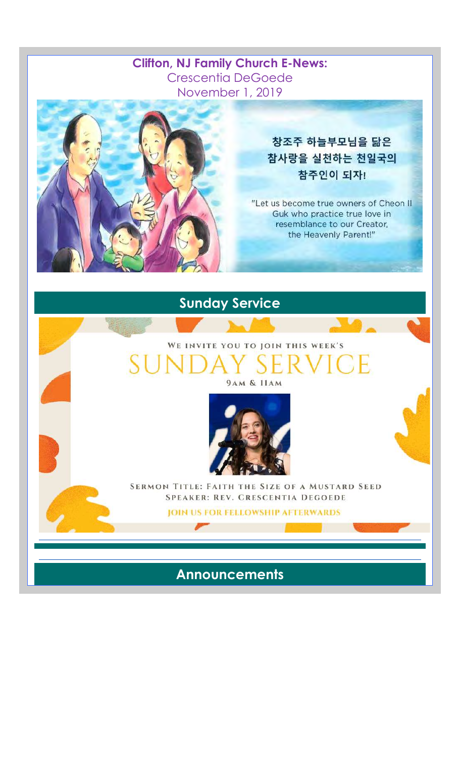#### **Clifton, NJ Family Church E-News:**  Crescentia DeGoede November 1, 2019



### 창조주 하늘부모님을 닮은 참사랑을 실천하는 천일국의 참주인이 되자!

"Let us become true owners of Cheon II Guk who practice true love in resemblance to our Creator, the Heavenly Parent!"

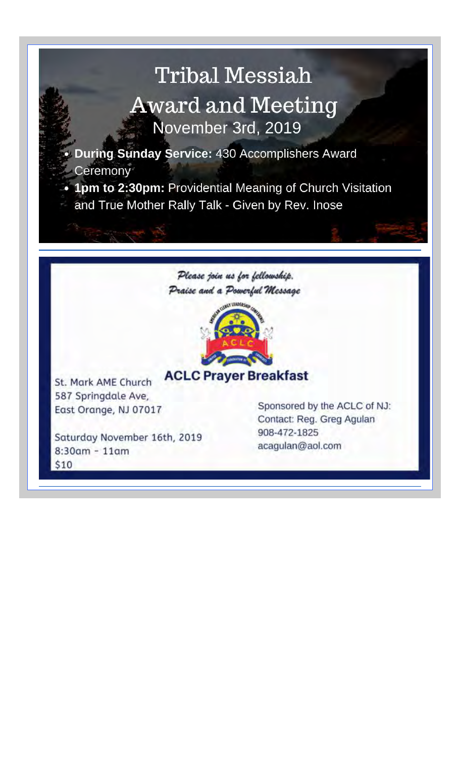## Tribal Messiah Award and Meeting November 3rd, 2019

• **During Sunday Service:** 430 Accomplishers Award **Ceremony** 

• **1pm to 2:30pm:** Providential Meaning of Church Visitation and True Mother Rally Talk - Given by Rev. lnose





## **ACLC Prayer Breakfast**

**St. Mark AME Church** 587 Springdale Ave, East Orange, NJ 07017

Saturday November 16th, 2019 8:30am - 11am \$10

Sponsored by the ACLC of NJ: Contact: Reg. Greg Agulan 908-472-1825 acagulan@aol.com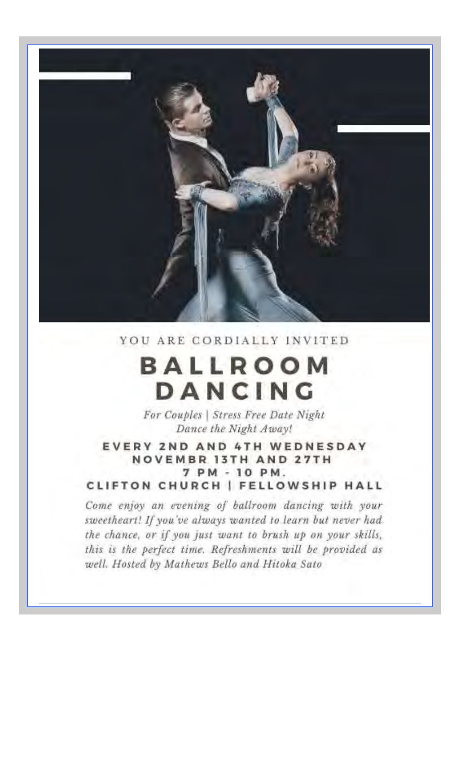

YOU ARE CORDIALLY INVITED

# **BALLROOM** DANCING

For Couples | Stress Free Date Night Dance the Night Away!

EVERY 2ND AND 4TH WEDNESDAY **NOVEMBR 13TH AND 27TH** 7 PM - 10 PM. CLIFTON CHURCH | FELLOWSHIP HALL

Come enjoy an evening of ballroom dancing with your sweetheart! If you've always wanted to learn but never had. the chance, or if you just want to brush up on your skills, this is the perfect time. Refreshments will be provided as well, Hosted by Mathews Bello and Hitoka Sato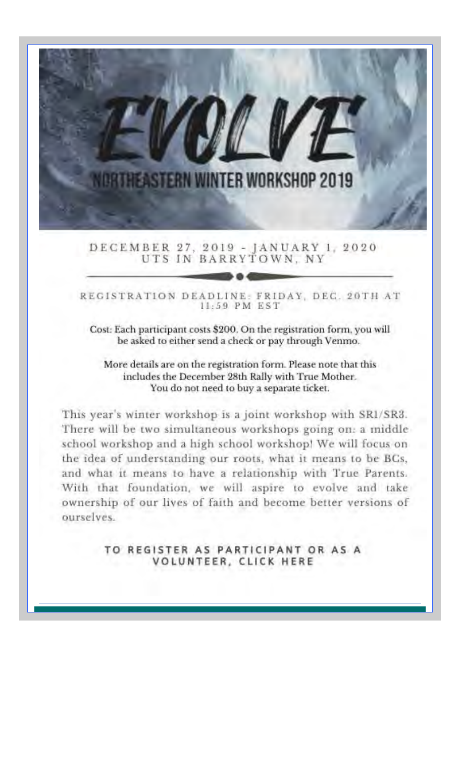

DECEMBER 27, 2019 - JANUARY 1, 2020<br>UTS IN BARRYTOWN, NY

REGISTRATION DEADLINE: FRIDAY, DEC. 20TH AT 11:59 PM EST

Cost: Each participant costs \$200. On the registration form, you will be asked to either send a check or pay through Venmo.

More details are on the registration form. Please note that this includes the December 28th Rally with True Mother. You do not need to buy a separate ticket.

This year's winter workshop is a joint workshop with SR1/SR3. There will be two simultaneous workshops going on: a middle school workshop and a high school workshop! We will focus on the idea of understanding our roots, what it means to be BCs, and what it means to have a relationship with True Parents. With that foundation, we will aspire to evolve and take ownership of our lives of faith and become better versions of ourselves.

> TO REGISTER AS PARTICIPANT OR AS A VOLUNTEER, CLICK HERE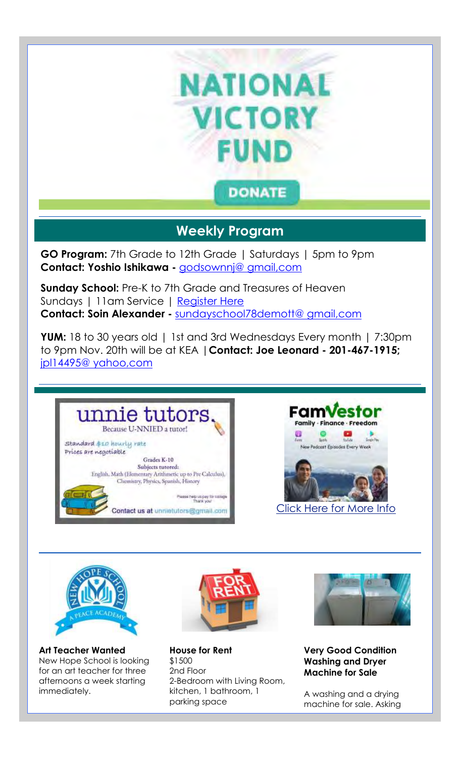

### **Weekly Program**

**GO Program:** 7th Grade to 12th Grade | Saturdays | 5pm to 9pm **Contact: Yoshio Ishikawa -** godsownnj@ gmail,com

**Sunday School:** Pre-K to 7th Grade and Treasures of Heaven Sundays | 11am Service | Register Here **Contact: Soin Alexander -** sundayschool78demott@ gmail,com

**YUM:** 18 to 30 years old | 1st and 3rd Wednesdays Every month | 7:30pm to 9pm Nov. 20th will be at KEA |**Contact: Joe Leonard - 201-467-1915;**  jpl14495@ yahoo,com







**Art Teacher Wanted** New Hope School is looking for an art teacher for three afternoons a week starting immediately.



**House for Rent** \$1500 2nd Floor 2-Bedroom with Living Room, kitchen, 1 bathroom, 1 parking space



**Very Good Condition Washing and Dryer Machine for Sale**

A washing and a drying machine for sale. Asking